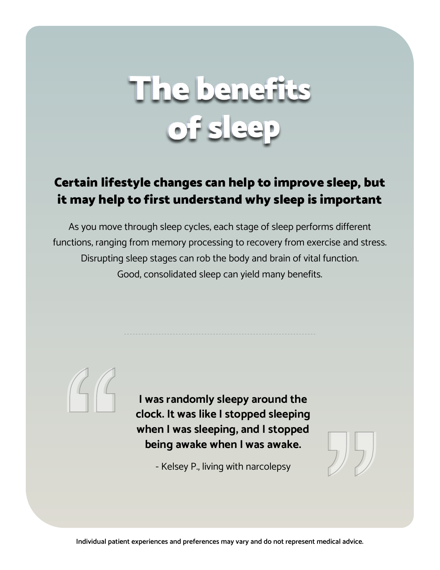# The benefits ofsk

## Certain lifestyle changes can help to improve sleep, but it may help to first understand why sleep is important

As you move through sleep cycles, each stage of sleep performs different functions, ranging from memory processing to recovery from exercise and stress. Disrupting sleep stages can rob the body and brain of vital function. Good, consolidated sleep can yield many benefits.

> **I was randomly sleepy around the clock. It was like I stopped sleeping when I was sleeping, and I stopped being awake when I was awake.**

> > - Kelsey P., living with narcolepsy